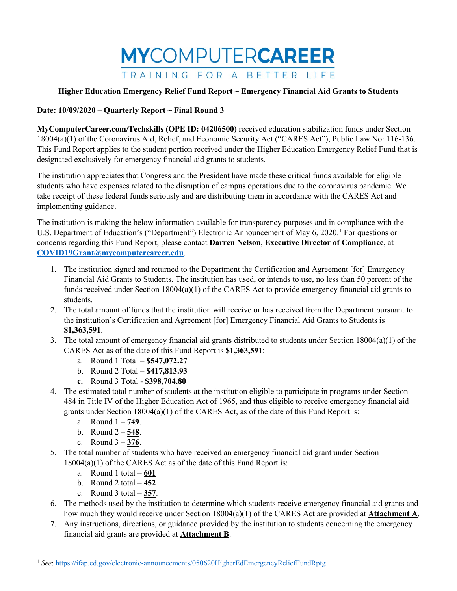

#### **Date: 10/09/2020 – Quarterly Report ~ Final Round 3**

**MyComputerCareer.com/Techskills (OPE ID: 04206500)** received education stabilization funds under Section 18004(a)(1) of the Coronavirus Aid, Relief, and Economic Security Act ("CARES Act"), Public Law No: 116-136. This Fund Report applies to the student portion received under the Higher Education Emergency Relief Fund that is designated exclusively for emergency financial aid grants to students.

The institution appreciates that Congress and the President have made these critical funds available for eligible students who have expenses related to the disruption of campus operations due to the coronavirus pandemic. We take receipt of these federal funds seriously and are distributing them in accordance with the CARES Act and implementing guidance.

The institution is making the below information available for transparency purposes and in compliance with the U.S. Department of Education's ("Department") Electronic Announcement of May 6, 2020.<sup>[1](#page-0-0)</sup> For questions or concerns regarding this Fund Report, please contact **Darren Nelson**, **Executive Director of Compliance**, at **[COVID19Grant@mycomputercareer.edu](mailto:COVID19Grant@mycomputercareer.edu)**.

- 1. The institution signed and returned to the Department the Certification and Agreement [for] Emergency Financial Aid Grants to Students. The institution has used, or intends to use, no less than 50 percent of the funds received under Section 18004(a)(1) of the CARES Act to provide emergency financial aid grants to students.
- 2. The total amount of funds that the institution will receive or has received from the Department pursuant to the institution's Certification and Agreement [for] Emergency Financial Aid Grants to Students is **\$1,363,591**.
- 3. The total amount of emergency financial aid grants distributed to students under Section 18004(a)(1) of the CARES Act as of the date of this Fund Report is **\$1,363,591**:
	- a. Round 1 Total **\$547,072.27**
	- b. Round 2 Total **\$417,813.93**
	- **c.** Round 3 Total **\$398,704.80**
- 4. The estimated total number of students at the institution eligible to participate in programs under Section 484 in Title IV of the Higher Education Act of 1965, and thus eligible to receive emergency financial aid grants under Section  $18004(a)(1)$  of the CARES Act, as of the date of this Fund Report is:
	- a. Round 1 **749**.
	- b. Round 2 **548**.
	- c. Round 3 **376**.
- 5. The total number of students who have received an emergency financial aid grant under Section 18004(a)(1) of the CARES Act as of the date of this Fund Report is:
	- a. Round 1 total **601**
	- b. Round 2 total **452**
	- c. Round 3 total **357**.

 $\overline{a}$ 

- 6. The methods used by the institution to determine which students receive emergency financial aid grants and how much they would receive under Section 18004(a)(1) of the CARES Act are provided at **Attachment A**.
- 7. Any instructions, directions, or guidance provided by the institution to students concerning the emergency financial aid grants are provided at **Attachment B**.

<span id="page-0-0"></span><sup>1</sup> *See*[: https://ifap.ed.gov/electronic-announcements/050620HigherEdEmergencyReliefFundRptg](https://ifap.ed.gov/electronic-announcements/050620HigherEdEmergencyReliefFundRptg)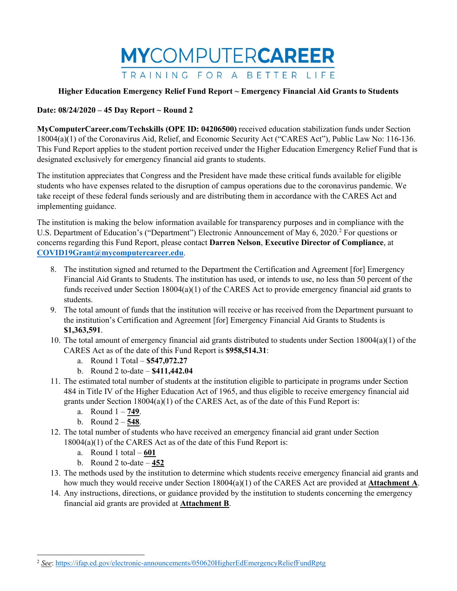

#### **Date: 08/24/2020 – 45 Day Report ~ Round 2**

**MyComputerCareer.com/Techskills (OPE ID: 04206500)** received education stabilization funds under Section 18004(a)(1) of the Coronavirus Aid, Relief, and Economic Security Act ("CARES Act"), Public Law No: 116-136. This Fund Report applies to the student portion received under the Higher Education Emergency Relief Fund that is designated exclusively for emergency financial aid grants to students.

The institution appreciates that Congress and the President have made these critical funds available for eligible students who have expenses related to the disruption of campus operations due to the coronavirus pandemic. We take receipt of these federal funds seriously and are distributing them in accordance with the CARES Act and implementing guidance.

The institution is making the below information available for transparency purposes and in compliance with the U.S. Department of Education's ("Department") Electronic Announcement of May 6, [2](#page-1-0)020.<sup>2</sup> For questions or concerns regarding this Fund Report, please contact **Darren Nelson**, **Executive Director of Compliance**, at **[COVID19Grant@mycomputercareer.edu](mailto:COVID19Grant@mycomputercareer.edu)**.

- 8. The institution signed and returned to the Department the Certification and Agreement [for] Emergency Financial Aid Grants to Students. The institution has used, or intends to use, no less than 50 percent of the funds received under Section 18004(a)(1) of the CARES Act to provide emergency financial aid grants to students.
- 9. The total amount of funds that the institution will receive or has received from the Department pursuant to the institution's Certification and Agreement [for] Emergency Financial Aid Grants to Students is **\$1,363,591**.
- 10. The total amount of emergency financial aid grants distributed to students under Section 18004(a)(1) of the CARES Act as of the date of this Fund Report is **\$958,514.31**:
	- a. Round 1 Total **\$547,072.27**
	- b. Round 2 to-date **\$411,442.04**
- 11. The estimated total number of students at the institution eligible to participate in programs under Section 484 in Title IV of the Higher Education Act of 1965, and thus eligible to receive emergency financial aid grants under Section 18004(a)(1) of the CARES Act, as of the date of this Fund Report is:
	- a. Round 1 **749**.
	- b. Round 2 **548**.

 $\overline{a}$ 

- 12. The total number of students who have received an emergency financial aid grant under Section 18004(a)(1) of the CARES Act as of the date of this Fund Report is:
	- a. Round 1 total **601**
	- b. Round 2 to-date **452**
- 13. The methods used by the institution to determine which students receive emergency financial aid grants and how much they would receive under Section 18004(a)(1) of the CARES Act are provided at **Attachment A**.
- 14. Any instructions, directions, or guidance provided by the institution to students concerning the emergency financial aid grants are provided at **Attachment B**.

<span id="page-1-0"></span><sup>2</sup> *See*[: https://ifap.ed.gov/electronic-announcements/050620HigherEdEmergencyReliefFundRptg](https://ifap.ed.gov/electronic-announcements/050620HigherEdEmergencyReliefFundRptg)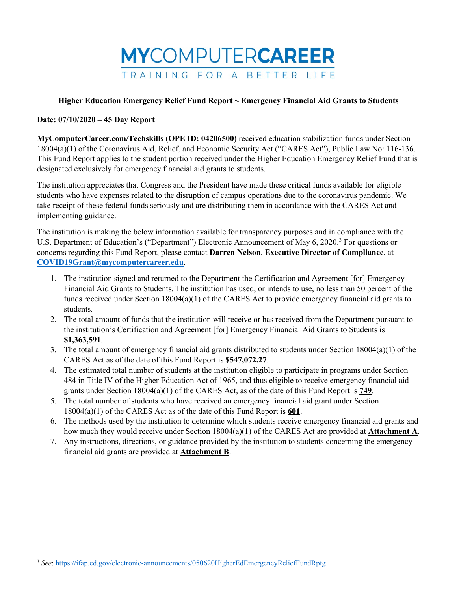

### **Date: 07/10/2020 – 45 Day Report**

**MyComputerCareer.com/Techskills (OPE ID: 04206500)** received education stabilization funds under Section 18004(a)(1) of the Coronavirus Aid, Relief, and Economic Security Act ("CARES Act"), Public Law No: 116-136. This Fund Report applies to the student portion received under the Higher Education Emergency Relief Fund that is designated exclusively for emergency financial aid grants to students.

The institution appreciates that Congress and the President have made these critical funds available for eligible students who have expenses related to the disruption of campus operations due to the coronavirus pandemic. We take receipt of these federal funds seriously and are distributing them in accordance with the CARES Act and implementing guidance.

The institution is making the below information available for transparency purposes and in compliance with the U.S. Department of Education's ("Department") Electronic Announcement of May 6, 2020.<sup>[3](#page-2-0)</sup> For questions or concerns regarding this Fund Report, please contact **Darren Nelson**, **Executive Director of Compliance**, at **[COVID19Grant@mycomputercareer.edu](mailto:COVID19Grant@mycomputercareer.edu)**.

- 1. The institution signed and returned to the Department the Certification and Agreement [for] Emergency Financial Aid Grants to Students. The institution has used, or intends to use, no less than 50 percent of the funds received under Section 18004(a)(1) of the CARES Act to provide emergency financial aid grants to students.
- 2. The total amount of funds that the institution will receive or has received from the Department pursuant to the institution's Certification and Agreement [for] Emergency Financial Aid Grants to Students is **\$1,363,591**.
- 3. The total amount of emergency financial aid grants distributed to students under Section 18004(a)(1) of the CARES Act as of the date of this Fund Report is **\$547,072.27**.
- 4. The estimated total number of students at the institution eligible to participate in programs under Section 484 in Title IV of the Higher Education Act of 1965, and thus eligible to receive emergency financial aid grants under Section 18004(a)(1) of the CARES Act, as of the date of this Fund Report is **749**.
- 5. The total number of students who have received an emergency financial aid grant under Section 18004(a)(1) of the CARES Act as of the date of this Fund Report is **601**.
- 6. The methods used by the institution to determine which students receive emergency financial aid grants and how much they would receive under Section 18004(a)(1) of the CARES Act are provided at **Attachment A**.
- 7. Any instructions, directions, or guidance provided by the institution to students concerning the emergency financial aid grants are provided at **Attachment B**.

 $\overline{a}$ 

<span id="page-2-0"></span><sup>&</sup>lt;sup>3</sup> See[: https://ifap.ed.gov/electronic-announcements/050620HigherEdEmergencyReliefFundRptg](https://ifap.ed.gov/electronic-announcements/050620HigherEdEmergencyReliefFundRptg)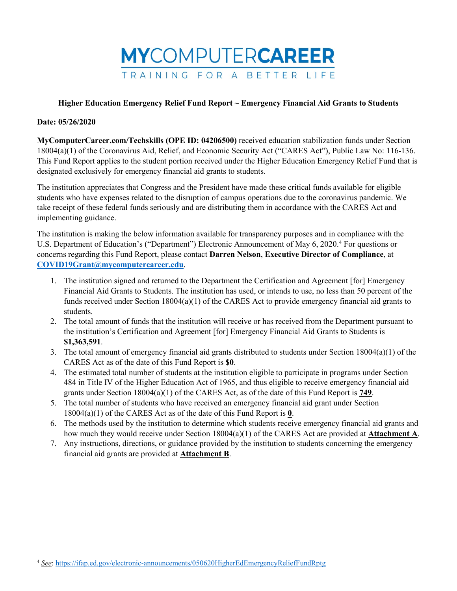

#### **Date: 05/26/2020**

 $\overline{a}$ 

**MyComputerCareer.com/Techskills (OPE ID: 04206500)** received education stabilization funds under Section 18004(a)(1) of the Coronavirus Aid, Relief, and Economic Security Act ("CARES Act"), Public Law No: 116-136. This Fund Report applies to the student portion received under the Higher Education Emergency Relief Fund that is designated exclusively for emergency financial aid grants to students.

The institution appreciates that Congress and the President have made these critical funds available for eligible students who have expenses related to the disruption of campus operations due to the coronavirus pandemic. We take receipt of these federal funds seriously and are distributing them in accordance with the CARES Act and implementing guidance.

The institution is making the below information available for transparency purposes and in compliance with the U.S. Department of Education's ("Department") Electronic Announcement of May 6, 2020. [4](#page-3-0) For questions or concerns regarding this Fund Report, please contact **Darren Nelson**, **Executive Director of Compliance**, at **[COVID19Grant@mycomputercareer.edu](mailto:COVID19Grant@mycomputercareer.edu)**.

- 1. The institution signed and returned to the Department the Certification and Agreement [for] Emergency Financial Aid Grants to Students. The institution has used, or intends to use, no less than 50 percent of the funds received under Section 18004(a)(1) of the CARES Act to provide emergency financial aid grants to students.
- 2. The total amount of funds that the institution will receive or has received from the Department pursuant to the institution's Certification and Agreement [for] Emergency Financial Aid Grants to Students is **\$1,363,591**.
- 3. The total amount of emergency financial aid grants distributed to students under Section 18004(a)(1) of the CARES Act as of the date of this Fund Report is **\$0**.
- 4. The estimated total number of students at the institution eligible to participate in programs under Section 484 in Title IV of the Higher Education Act of 1965, and thus eligible to receive emergency financial aid grants under Section 18004(a)(1) of the CARES Act, as of the date of this Fund Report is **749**.
- 5. The total number of students who have received an emergency financial aid grant under Section 18004(a)(1) of the CARES Act as of the date of this Fund Report is **0**.
- 6. The methods used by the institution to determine which students receive emergency financial aid grants and how much they would receive under Section 18004(a)(1) of the CARES Act are provided at **Attachment A**.
- 7. Any instructions, directions, or guidance provided by the institution to students concerning the emergency financial aid grants are provided at **Attachment B**.

<span id="page-3-0"></span><sup>4</sup> *See*[: https://ifap.ed.gov/electronic-announcements/050620HigherEdEmergencyReliefFundRptg](https://ifap.ed.gov/electronic-announcements/050620HigherEdEmergencyReliefFundRptg)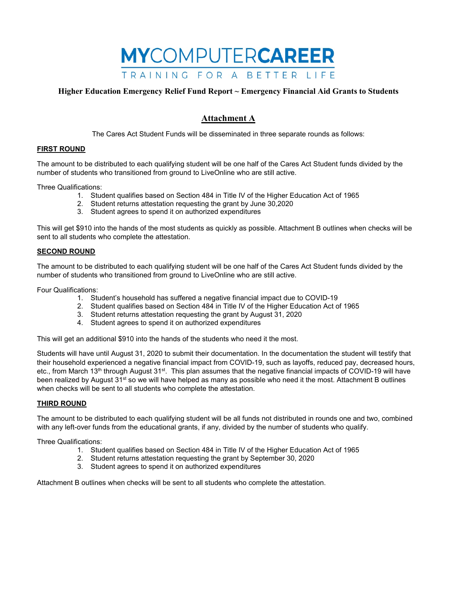

# **Attachment A**

The Cares Act Student Funds will be disseminated in three separate rounds as follows:

#### **FIRST ROUND**

The amount to be distributed to each qualifying student will be one half of the Cares Act Student funds divided by the number of students who transitioned from ground to LiveOnline who are still active.

Three Qualifications:

- 1. Student qualifies based on Section 484 in Title IV of the Higher Education Act of 1965
- 2. Student returns attestation requesting the grant by June 30,2020
- 3. Student agrees to spend it on authorized expenditures

This will get \$910 into the hands of the most students as quickly as possible. Attachment B outlines when checks will be sent to all students who complete the attestation.

#### **SECOND ROUND**

The amount to be distributed to each qualifying student will be one half of the Cares Act Student funds divided by the number of students who transitioned from ground to LiveOnline who are still active.

Four Qualifications:

- 1. Student's household has suffered a negative financial impact due to COVID-19
- 2. Student qualifies based on Section 484 in Title IV of the Higher Education Act of 1965
- 3. Student returns attestation requesting the grant by August 31, 2020
- 4. Student agrees to spend it on authorized expenditures

This will get an additional \$910 into the hands of the students who need it the most.

Students will have until August 31, 2020 to submit their documentation. In the documentation the student will testify that their household experienced a negative financial impact from COVID-19, such as layoffs, reduced pay, decreased hours, etc., from March 13<sup>th</sup> through August 31<sup>st</sup>. This plan assumes that the negative financial impacts of COVID-19 will have been realized by August 31<sup>st</sup> so we will have helped as many as possible who need it the most. Attachment B outlines when checks will be sent to all students who complete the attestation.

#### **THIRD ROUND**

The amount to be distributed to each qualifying student will be all funds not distributed in rounds one and two, combined with any left-over funds from the educational grants, if any, divided by the number of students who qualify.

Three Qualifications:

- 1. Student qualifies based on Section 484 in Title IV of the Higher Education Act of 1965
- 2. Student returns attestation requesting the grant by September 30, 2020
- 3. Student agrees to spend it on authorized expenditures

Attachment B outlines when checks will be sent to all students who complete the attestation.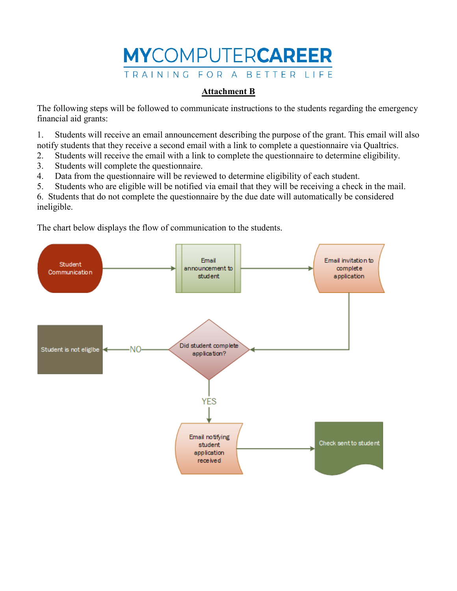# **MYCOMPUTERCAREER** TRAINING FOR A BETTER LIFE

# **Attachment B**

The following steps will be followed to communicate instructions to the students regarding the emergency financial aid grants:

1. Students will receive an email announcement describing the purpose of the grant. This email will also notify students that they receive a second email with a link to complete a questionnaire via Qualtrics.

2. Students will receive the email with a link to complete the questionnaire to determine eligibility.

- 3. Students will complete the questionnaire.
- 4. Data from the questionnaire will be reviewed to determine eligibility of each student.
- 5. Students who are eligible will be notified via email that they will be receiving a check in the mail.

6. Students that do not complete the questionnaire by the due date will automatically be considered ineligible.

The chart below displays the flow of communication to the students.

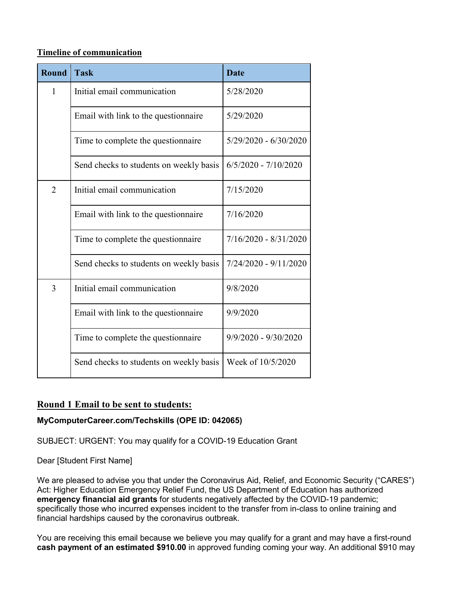## **Timeline of communication**

| <b>Round</b>   | <b>Task</b>                             | <b>Date</b>             |
|----------------|-----------------------------------------|-------------------------|
| $\mathbf{1}$   | Initial email communication             | 5/28/2020               |
|                | Email with link to the questionnaire    | 5/29/2020               |
|                | Time to complete the questionnaire      | $5/29/2020 - 6/30/2020$ |
|                | Send checks to students on weekly basis | $6/5/2020 - 7/10/2020$  |
| $\overline{2}$ | Initial email communication             | 7/15/2020               |
|                | Email with link to the questionnaire    | 7/16/2020               |
|                | Time to complete the questionnaire      | $7/16/2020 - 8/31/2020$ |
|                | Send checks to students on weekly basis | 7/24/2020 - 9/11/2020   |
| 3              | Initial email communication             | 9/8/2020                |
|                | Email with link to the questionnaire    | 9/9/2020                |
|                | Time to complete the questionnaire      | $9/9/2020 - 9/30/2020$  |
|                | Send checks to students on weekly basis | Week of 10/5/2020       |

# **Round 1 Email to be sent to students:**

# **MyComputerCareer.com/Techskills (OPE ID: 042065)**

SUBJECT: URGENT: You may qualify for a COVID-19 Education Grant

Dear [Student First Name]

We are pleased to advise you that under the Coronavirus Aid, Relief, and Economic Security ("CARES") Act: Higher Education Emergency Relief Fund, the US Department of Education has authorized **emergency financial aid grants** for students negatively affected by the COVID-19 pandemic; specifically those who incurred expenses incident to the transfer from in-class to online training and financial hardships caused by the coronavirus outbreak.

You are receiving this email because we believe you may qualify for a grant and may have a first-round **cash payment of an estimated \$910.00** in approved funding coming your way. An additional \$910 may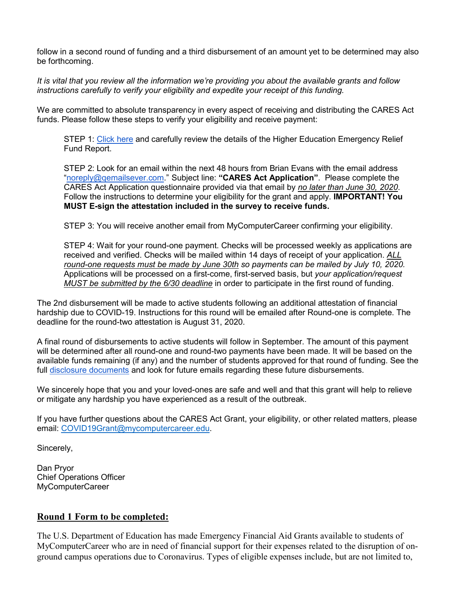follow in a second round of funding and a third disbursement of an amount yet to be determined may also be forthcoming.

*It is vital that you review all the information we're providing you about the available grants and follow instructions carefully to verify your eligibility and expedite your receipt of this funding.*

We are committed to absolute transparency in every aspect of receiving and distributing the CARES Act funds. Please follow these steps to verify your eligibility and receive payment:

STEP 1: [Click here](https://www.mycomputercareer.edu/additional-disclosure-statements/) and carefully review the details of the Higher Education Emergency Relief Fund Report.

STEP 2: Look for an email within the next 48 hours from Brian Evans with the email address ["noreply@qemailsever.com.](mailto:noreply@qemailsever.com)" Subject line: **"CARES Act Application"**. Please complete the CARES Act Application questionnaire provided via that email by *no later than June 30, 2020*. Follow the instructions to determine your eligibility for the grant and apply. **IMPORTANT! You MUST E-sign the attestation included in the survey to receive funds.**

STEP 3: You will receive another email from MyComputerCareer confirming your eligibility.

STEP 4: Wait for your round-one payment. Checks will be processed weekly as applications are received and verified. Checks will be mailed within 14 days of receipt of your application. *ALL round-one requests must be made by June 30th so payments can be mailed by July 10, 2020.* Applications will be processed on a first-come, first-served basis, but *your application/request MUST be submitted by the 6/30 deadline* in order to participate in the first round of funding.

The 2nd disbursement will be made to active students following an additional attestation of financial hardship due to COVID-19. Instructions for this round will be emailed after Round-one is complete. The deadline for the round-two attestation is August 31, 2020.

A final round of disbursements to active students will follow in September. The amount of this payment will be determined after all round-one and round-two payments have been made. It will be based on the available funds remaining (if any) and the number of students approved for that round of funding. See the full [disclosure documents](https://www.mycomputercareer.edu/additional-disclosure-statements/) and look for future emails regarding these future disbursements.

We sincerely hope that you and your loved-ones are safe and well and that this grant will help to relieve or mitigate any hardship you have experienced as a result of the outbreak.

If you have further questions about the CARES Act Grant, your eligibility, or other related matters, please email: [COVID19Grant@mycomputercareer.edu.](mailto:COVID19Grant@mycomputercareer.edu)

Sincerely,

Dan Pryor Chief Operations Officer MyComputerCareer

# **Round 1 Form to be completed:**

The U.S. Department of Education has made Emergency Financial Aid Grants available to students of MyComputerCareer who are in need of financial support for their expenses related to the disruption of onground campus operations due to Coronavirus. Types of eligible expenses include, but are not limited to,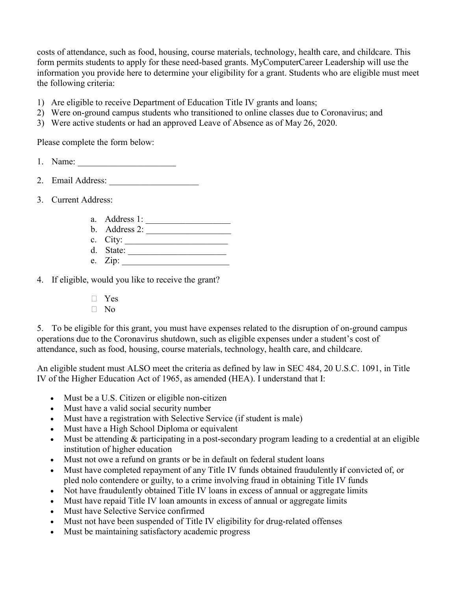costs of attendance, such as food, housing, course materials, technology, health care, and childcare. This form permits students to apply for these need-based grants. MyComputerCareer Leadership will use the information you provide here to determine your eligibility for a grant. Students who are eligible must meet the following criteria:

- 1) Are eligible to receive Department of Education Title IV grants and loans;
- 2) Were on-ground campus students who transitioned to online classes due to Coronavirus; and
- 3) Were active students or had an approved Leave of Absence as of May 26, 2020.

Please complete the form below:

- 1. Name:
- 2. Email Address:
- 3. Current Address:
	- a. Address 1:
	- b. Address 2:
	- c. City:  $\qquad \qquad \qquad$
	- d. State: \_\_\_\_\_\_\_\_\_\_\_\_\_\_\_\_\_\_\_\_\_\_ e.  $Zip:$
- 4. If eligible, would you like to receive the grant?
	- � Yes
	- $\Box$  No

5. To be eligible for this grant, you must have expenses related to the disruption of on-ground campus operations due to the Coronavirus shutdown, such as eligible expenses under a student's cost of attendance, such as food, housing, course materials, technology, health care, and childcare.

An eligible student must ALSO meet the criteria as defined by law in SEC 484, 20 U.S.C. 1091, in Title IV of the Higher Education Act of 1965, as amended (HEA). I understand that I:

- Must be a U.S. Citizen or eligible non-citizen
- Must have a valid social security number
- Must have a registration with Selective Service (if student is male)
- Must have a High School Diploma or equivalent
- Must be attending & participating in a post-secondary program leading to a credential at an eligible institution of higher education
- Must not owe a refund on grants or be in default on federal student loans
- Must have completed repayment of any Title IV funds obtained fraudulently **i**f convicted of, or pled nolo contendere or guilty, to a crime involving fraud in obtaining Title IV funds
- Not have fraudulently obtained Title IV loans in excess of annual or aggregate limits
- Must have repaid Title IV loan amounts in excess of annual or aggregate limits
- Must have Selective Service confirmed
- Must not have been suspended of Title IV eligibility for drug-related offenses
- Must be maintaining satisfactory academic progress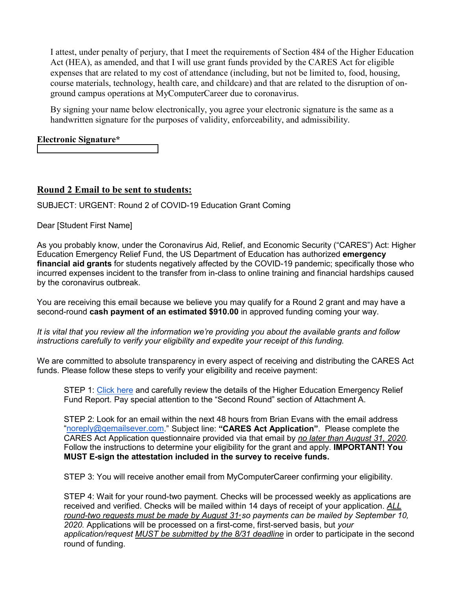I attest, under penalty of perjury, that I meet the requirements of Section 484 of the Higher Education Act (HEA), as amended, and that I will use grant funds provided by the CARES Act for eligible expenses that are related to my cost of attendance (including, but not be limited to, food, housing, course materials, technology, health care, and childcare) and that are related to the disruption of onground campus operations at MyComputerCareer due to coronavirus.

By signing your name below electronically, you agree your electronic signature is the same as a handwritten signature for the purposes of validity, enforceability, and admissibility.

# **Electronic Signature\***

# **Round 2 Email to be sent to students:**

SUBJECT: URGENT: Round 2 of COVID-19 Education Grant Coming

Dear [Student First Name]

As you probably know, under the Coronavirus Aid, Relief, and Economic Security ("CARES") Act: Higher Education Emergency Relief Fund, the US Department of Education has authorized **emergency financial aid grants** for students negatively affected by the COVID-19 pandemic; specifically those who incurred expenses incident to the transfer from in-class to online training and financial hardships caused by the coronavirus outbreak.

You are receiving this email because we believe you may qualify for a Round 2 grant and may have a second-round **cash payment of an estimated \$910.00** in approved funding coming your way.

*It is vital that you review all the information we're providing you about the available grants and follow instructions carefully to verify your eligibility and expedite your receipt of this funding.*

We are committed to absolute transparency in every aspect of receiving and distributing the CARES Act funds. Please follow these steps to verify your eligibility and receive payment:

STEP 1: [Click here](https://www.mycomputercareer.edu/additional-disclosure-statements/) and carefully review the details of the Higher Education Emergency Relief Fund Report. Pay special attention to the "Second Round" section of Attachment A.

STEP 2: Look for an email within the next 48 hours from Brian Evans with the email address ["noreply@qemailsever.com.](mailto:noreply@qemailsever.com)" Subject line: **"CARES Act Application"**. Please complete the CARES Act Application questionnaire provided via that email by *no later than August 31, 2020*. Follow the instructions to determine your eligibility for the grant and apply. **IMPORTANT! You MUST E-sign the attestation included in the survey to receive funds.**

STEP 3: You will receive another email from MyComputerCareer confirming your eligibility.

STEP 4: Wait for your round-two payment. Checks will be processed weekly as applications are received and verified. Checks will be mailed within 14 days of receipt of your application. *ALL*  round-two requests must be made by August 31<sup>\*</sup> so payments can be mailed by September 10, *2020.* Applications will be processed on a first-come, first-served basis, but *your application/request MUST be submitted by the 8/31 deadline* in order to participate in the second round of funding.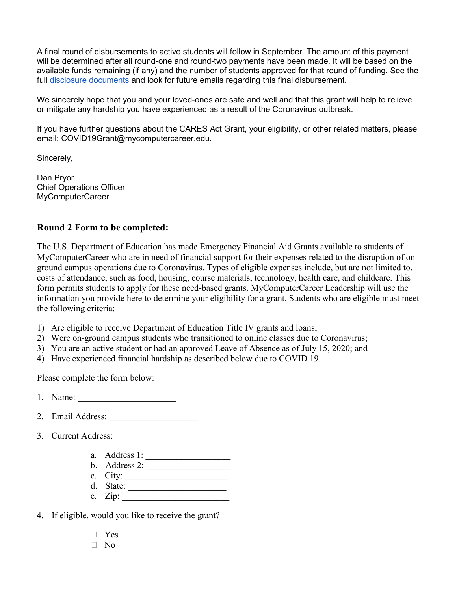A final round of disbursements to active students will follow in September. The amount of this payment will be determined after all round-one and round-two payments have been made. It will be based on the available funds remaining (if any) and the number of students approved for that round of funding. See the full [disclosure documents](https://www.mycomputercareer.edu/additional-disclosure-statements/) and look for future emails regarding this final disbursement.

We sincerely hope that you and your loved-ones are safe and well and that this grant will help to relieve or mitigate any hardship you have experienced as a result of the Coronavirus outbreak.

If you have further questions about the CARES Act Grant, your eligibility, or other related matters, please email: COVID19Grant@mycomputercareer.edu.

Sincerely,

Dan Pryor Chief Operations Officer MyComputerCareer

# **Round 2 Form to be completed:**

The U.S. Department of Education has made Emergency Financial Aid Grants available to students of MyComputerCareer who are in need of financial support for their expenses related to the disruption of onground campus operations due to Coronavirus. Types of eligible expenses include, but are not limited to, costs of attendance, such as food, housing, course materials, technology, health care, and childcare. This form permits students to apply for these need-based grants. MyComputerCareer Leadership will use the information you provide here to determine your eligibility for a grant. Students who are eligible must meet the following criteria:

- 1) Are eligible to receive Department of Education Title IV grants and loans;
- 2) Were on-ground campus students who transitioned to online classes due to Coronavirus;
- 3) You are an active student or had an approved Leave of Absence as of July 15, 2020; and
- 4) Have experienced financial hardship as described below due to COVID 19.

Please complete the form below:

- 1. Name:
- 2. Email Address:
- 3. Current Address:
	- a. Address 1: \_\_\_\_\_\_\_\_\_\_\_\_\_\_\_\_\_\_\_
	- b. Address 2: \_\_\_\_\_\_\_\_\_\_\_\_\_\_\_\_\_\_\_
	- c. City:
	- d. State:  $\frac{1}{\sqrt{2\pi}}$
	- e.  $Zip:$
- 4. If eligible, would you like to receive the grant?
	- $\neg$  Yes
	- $\neg$  No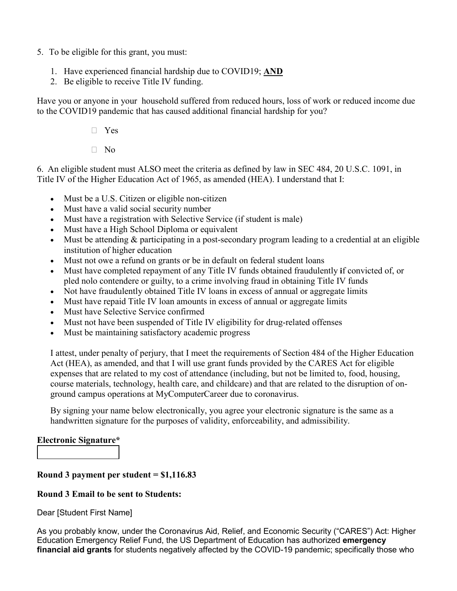- 5. To be eligible for this grant, you must:
	- 1. Have experienced financial hardship due to COVID19; **AND**
	- 2. Be eligible to receive Title IV funding.

Have you or anyone in your household suffered from reduced hours, loss of work or reduced income due to the COVID19 pandemic that has caused additional financial hardship for you?

- $\neg$  Yes
- $\Box$  No

6. An eligible student must ALSO meet the criteria as defined by law in SEC 484, 20 U.S.C. 1091, in Title IV of the Higher Education Act of 1965, as amended (HEA). I understand that I:

- Must be a U.S. Citizen or eligible non-citizen
- Must have a valid social security number
- Must have a registration with Selective Service (if student is male)
- Must have a High School Diploma or equivalent
- Must be attending & participating in a post-secondary program leading to a credential at an eligible institution of higher education
- Must not owe a refund on grants or be in default on federal student loans
- Must have completed repayment of any Title IV funds obtained fraudulently **i**f convicted of, or pled nolo contendere or guilty, to a crime involving fraud in obtaining Title IV funds
- Not have fraudulently obtained Title IV loans in excess of annual or aggregate limits
- Must have repaid Title IV loan amounts in excess of annual or aggregate limits
- Must have Selective Service confirmed
- Must not have been suspended of Title IV eligibility for drug-related offenses
- Must be maintaining satisfactory academic progress

I attest, under penalty of perjury, that I meet the requirements of Section 484 of the Higher Education Act (HEA), as amended, and that I will use grant funds provided by the CARES Act for eligible expenses that are related to my cost of attendance (including, but not be limited to, food, housing, course materials, technology, health care, and childcare) and that are related to the disruption of onground campus operations at MyComputerCareer due to coronavirus.

By signing your name below electronically, you agree your electronic signature is the same as a handwritten signature for the purposes of validity, enforceability, and admissibility.

# **Electronic Signature\***

# **Round 3 payment per student = \$1,116.83**

# **Round 3 Email to be sent to Students:**

Dear [Student First Name]

As you probably know, under the Coronavirus Aid, Relief, and Economic Security ("CARES") Act: Higher Education Emergency Relief Fund, the US Department of Education has authorized **emergency financial aid grants** for students negatively affected by the COVID-19 pandemic; specifically those who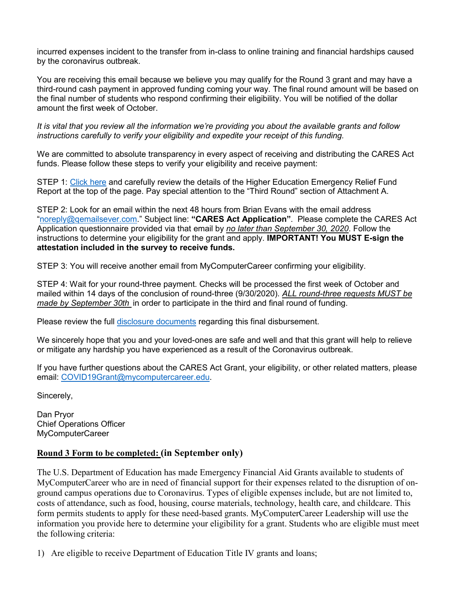incurred expenses incident to the transfer from in-class to online training and financial hardships caused by the coronavirus outbreak.

You are receiving this email because we believe you may qualify for the Round 3 grant and may have a third-round cash payment in approved funding coming your way. The final round amount will be based on the final number of students who respond confirming their eligibility. You will be notified of the dollar amount the first week of October.

*It is vital that you review all the information we're providing you about the available grants and follow instructions carefully to verify your eligibility and expedite your receipt of this funding.*

We are committed to absolute transparency in every aspect of receiving and distributing the CARES Act funds. Please follow these steps to verify your eligibility and receive payment:

STEP 1: [Click here](https://www.mycomputercareer.edu/additional-disclosure-statements/) and carefully review the details of the Higher Education Emergency Relief Fund Report at the top of the page. Pay special attention to the "Third Round" section of Attachment A.

STEP 2: Look for an email within the next 48 hours from Brian Evans with the email address ["noreply@qemailsever.com.](mailto:noreply@qemailsever.com)" Subject line: **"CARES Act Application"**. Please complete the CARES Act Application questionnaire provided via that email by *no later than September 30, 2020*. Follow the instructions to determine your eligibility for the grant and apply. **IMPORTANT! You MUST E-sign the attestation included in the survey to receive funds.**

STEP 3: You will receive another email from MyComputerCareer confirming your eligibility.

STEP 4: Wait for your round-three payment. Checks will be processed the first week of October and mailed within 14 days of the conclusion of round-three (9/30/2020). *ALL round-three requests MUST be made by September 30th* in order to participate in the third and final round of funding.

Please review the full [disclosure documents](https://www.mycomputercareer.edu/additional-disclosure-statements/) regarding this final disbursement.

We sincerely hope that you and your loved-ones are safe and well and that this grant will help to relieve or mitigate any hardship you have experienced as a result of the Coronavirus outbreak.

If you have further questions about the CARES Act Grant, your eligibility, or other related matters, please email: [COVID19Grant@mycomputercareer.edu.](mailto:COVID19Grant@mycomputercareer.edu)

Sincerely,

Dan Pryor Chief Operations Officer MyComputerCareer

### **Round 3 Form to be completed: (in September only)**

The U.S. Department of Education has made Emergency Financial Aid Grants available to students of MyComputerCareer who are in need of financial support for their expenses related to the disruption of onground campus operations due to Coronavirus. Types of eligible expenses include, but are not limited to, costs of attendance, such as food, housing, course materials, technology, health care, and childcare. This form permits students to apply for these need-based grants. MyComputerCareer Leadership will use the information you provide here to determine your eligibility for a grant. Students who are eligible must meet the following criteria:

1) Are eligible to receive Department of Education Title IV grants and loans;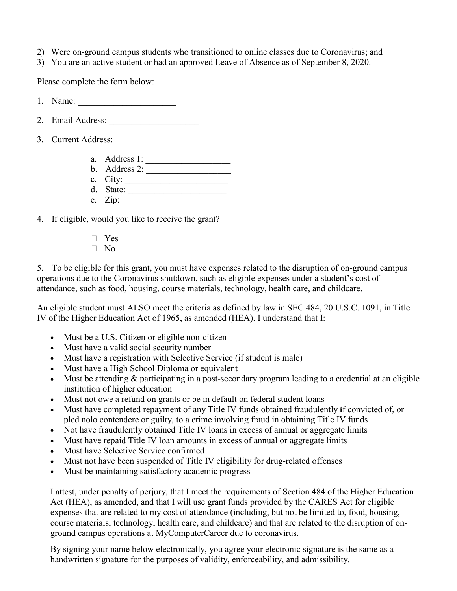- 2) Were on-ground campus students who transitioned to online classes due to Coronavirus; and
- 3) You are an active student or had an approved Leave of Absence as of September 8, 2020.

Please complete the form below:

- 1. Name: \_\_\_\_\_\_\_\_\_\_\_\_\_\_\_\_\_\_\_\_\_\_
- 2. Email Address:
- 3. Current Address:
	- a. Address 1:
	- b. Address 2:
	- c. City: \_\_\_\_\_\_\_\_\_\_\_\_\_\_\_\_\_\_\_\_\_\_\_
	- d. State: \_\_\_\_\_\_\_\_\_\_\_\_\_\_\_\_\_\_\_\_\_\_ e. Zip: \_\_\_\_\_\_\_\_\_\_\_\_\_\_\_\_\_\_\_\_\_\_\_\_
- 4. If eligible, would you like to receive the grant?
	- � Yes
	- $\neg$  No

5. To be eligible for this grant, you must have expenses related to the disruption of on-ground campus operations due to the Coronavirus shutdown, such as eligible expenses under a student's cost of attendance, such as food, housing, course materials, technology, health care, and childcare.

An eligible student must ALSO meet the criteria as defined by law in SEC 484, 20 U.S.C. 1091, in Title IV of the Higher Education Act of 1965, as amended (HEA). I understand that I:

- Must be a U.S. Citizen or eligible non-citizen
- Must have a valid social security number
- Must have a registration with Selective Service (if student is male)
- Must have a High School Diploma or equivalent
- Must be attending & participating in a post-secondary program leading to a credential at an eligible institution of higher education
- Must not owe a refund on grants or be in default on federal student loans
- Must have completed repayment of any Title IV funds obtained fraudulently **i**f convicted of, or pled nolo contendere or guilty, to a crime involving fraud in obtaining Title IV funds
- Not have fraudulently obtained Title IV loans in excess of annual or aggregate limits
- Must have repaid Title IV loan amounts in excess of annual or aggregate limits
- Must have Selective Service confirmed
- Must not have been suspended of Title IV eligibility for drug-related offenses
- Must be maintaining satisfactory academic progress

I attest, under penalty of perjury, that I meet the requirements of Section 484 of the Higher Education Act (HEA), as amended, and that I will use grant funds provided by the CARES Act for eligible expenses that are related to my cost of attendance (including, but not be limited to, food, housing, course materials, technology, health care, and childcare) and that are related to the disruption of onground campus operations at MyComputerCareer due to coronavirus.

By signing your name below electronically, you agree your electronic signature is the same as a handwritten signature for the purposes of validity, enforceability, and admissibility.